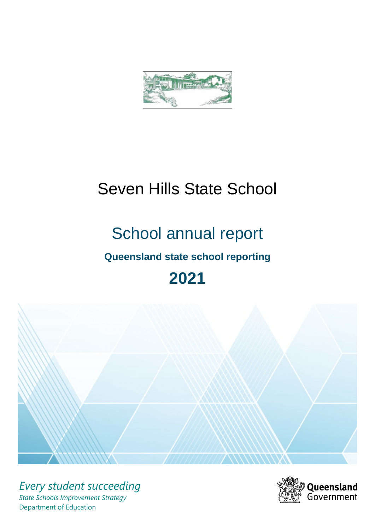

# Seven Hills State School

# School annual report

# **Queensland state school reporting**

# **2021**



*Every student succeeding State Schools Improvement Strategy* Department of Education

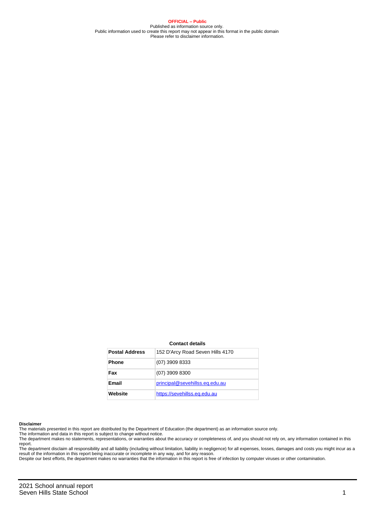**OFFICIAL – Public** Published as information source only. Public information used to create this report may not appear in this format in the public domain Please refer to disclaimer information.

#### **Contact details**

| <b>Postal Address</b> | 152 D'Arcy Road Seven Hills 4170 |
|-----------------------|----------------------------------|
| <b>Phone</b>          | $(07)$ 3909 8333                 |
| Fax                   | $(07)$ 3909 8300                 |
| <b>Email</b>          | principal@sevehillss.eq.edu.au   |
| Website               | https://sevehillss.eq.edu.au     |

#### **Disclaimer**

The materials presented in this report are distributed by the Department of Education (the department) as an information source only.

The information and data in this report is subject to change without notice.<br>The department makes no statements, representations, or warranties about the accuracy or completeness of, and you should not rely on, any informa report.

The department disclaim all responsibility and all liability (including without limitation, liability in negligence) for all expenses, losses, damages and costs you might incur as a result of the information in this report being inaccurate or incomplete in any way, and for any reason. Despite our best efforts, the department makes no warranties that the information in this report is free of infection by computer viruses or other contamination.

2021 School annual report Seven Hills State School 1 and 1 and 1 and 1 and 1 and 1 and 1 and 1 and 1 and 1 and 1 and 1 and 1 and 1 and 1 and 1 and 1 and 1 and 1 and 1 and 1 and 1 and 1 and 1 and 1 and 1 and 1 and 1 and 1 and 1 and 1 and 1 and 1 and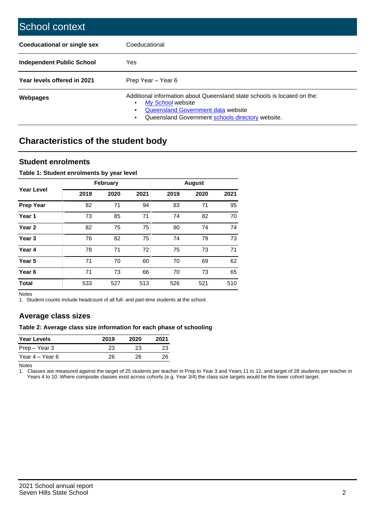| School context                   |                                                                                                                                                                                              |
|----------------------------------|----------------------------------------------------------------------------------------------------------------------------------------------------------------------------------------------|
| Coeducational or single sex      | Coeducational                                                                                                                                                                                |
| <b>Independent Public School</b> | Yes                                                                                                                                                                                          |
| Year levels offered in 2021      | Prep Year - Year 6                                                                                                                                                                           |
| Webpages                         | Additional information about Queensland state schools is located on the:<br>My School website<br>Queensland Government data website<br>Queensland Government schools directory website.<br>٠ |

# **Characteristics of the student body**

### **Student enrolments**

#### **Table 1: Student enrolments by year level**

|                   |      | <b>February</b> |      |      | <b>August</b> |      |
|-------------------|------|-----------------|------|------|---------------|------|
| Year Level        | 2019 | 2020            | 2021 | 2019 | 2020          | 2021 |
| <b>Prep Year</b>  | 82   | 71              | 94   | 83   | 71            | 95   |
| Year 1            | 73   | 85              | 71   | 74   | 82            | 70   |
| Year 2            | 82   | 75              | 75   | 80   | 74            | 74   |
| Year <sub>3</sub> | 76   | 82              | 75   | 74   | 79            | 73   |
| Year 4            | 78   | 71              | 72   | 75   | 73            | 71   |
| Year <sub>5</sub> | 71   | 70              | 60   | 70   | 69            | 62   |
| Year <sub>6</sub> | 71   | 73              | 66   | 70   | 73            | 65   |
| <b>Total</b>      | 533  | 527             | 513  | 526  | 521           | 510  |

Notes

1. Student counts include headcount of all full- and part-time students at the school.

## **Average class sizes**

#### **Table 2: Average class size information for each phase of schooling**

| <b>Year Levels</b> | 2019 | 2020 | 2021 |
|--------------------|------|------|------|
| Prep – Year 3      | 23   | 23   | 23   |
| Year 4 – Year 6    | 26   | 26   | 26   |

Notes

1. Classes are measured against the target of 25 students per teacher in Prep to Year 3 and Years 11 to 12, and target of 28 students per teacher in Years 4 to 10. Where composite classes exist across cohorts (e.g. Year 3/4) the class size targets would be the lower cohort target.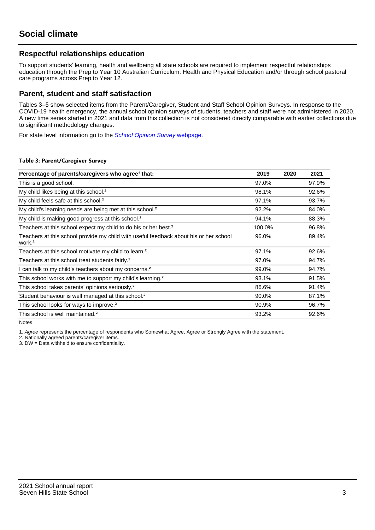## **Respectful relationships education**

To support students' learning, health and wellbeing all state schools are required to implement respectful relationships education through the Prep to Year 10 Australian Curriculum: Health and Physical Education and/or through school pastoral care programs across Prep to Year 12.

### **Parent, student and staff satisfaction**

Tables 3–5 show selected items from the Parent/Caregiver, Student and Staff School Opinion Surveys. In response to the COVID-19 health emergency, the annual school opinion surveys of students, teachers and staff were not administered in 2020. A new time series started in 2021 and data from this collection is not considered directly comparable with earlier collections due to significant methodology changes.

For state level information go to the **[School Opinion Survey](https://qed.qld.gov.au/publications/reports/statistics/schooling/schools/schoolopinionsurvey) webpage**.

#### **Table 3: Parent/Caregiver Survey**

| Percentage of parents/caregivers who agree <sup>1</sup> that:                                               | 2019   | 2020 | 2021  |
|-------------------------------------------------------------------------------------------------------------|--------|------|-------|
| This is a good school.                                                                                      | 97.0%  |      | 97.9% |
| My child likes being at this school. <sup>2</sup>                                                           | 98.1%  |      | 92.6% |
| My child feels safe at this school. <sup>2</sup>                                                            | 97.1%  |      | 93.7% |
| My child's learning needs are being met at this school. <sup>2</sup>                                        | 92.2%  |      | 84.0% |
| My child is making good progress at this school. <sup>2</sup>                                               | 94.1%  |      | 88.3% |
| Teachers at this school expect my child to do his or her best. <sup>2</sup>                                 | 100.0% |      | 96.8% |
| Teachers at this school provide my child with useful feedback about his or her school<br>work. <sup>2</sup> | 96.0%  |      | 89.4% |
| Teachers at this school motivate my child to learn. <sup>2</sup>                                            | 97.1%  |      | 92.6% |
| Teachers at this school treat students fairly. <sup>2</sup>                                                 | 97.0%  |      | 94.7% |
| can talk to my child's teachers about my concerns. <sup>2</sup>                                             | 99.0%  |      | 94.7% |
| This school works with me to support my child's learning. <sup>2</sup>                                      | 93.1%  |      | 91.5% |
| This school takes parents' opinions seriously. <sup>2</sup>                                                 | 86.6%  |      | 91.4% |
| Student behaviour is well managed at this school. <sup>2</sup>                                              | 90.0%  |      | 87.1% |
| This school looks for ways to improve. <sup>2</sup>                                                         | 90.9%  |      | 96.7% |
| This school is well maintained. <sup>2</sup>                                                                | 93.2%  |      | 92.6% |

Notes

1. Agree represents the percentage of respondents who Somewhat Agree, Agree or Strongly Agree with the statement.

2. Nationally agreed parents/caregiver items.

3. DW = Data withheld to ensure confidentiality.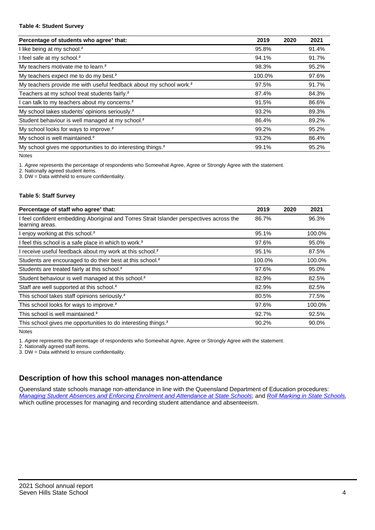#### **Table 4: Student Survey**

| Percentage of students who agree <sup>1</sup> that:                            | 2019   | 2020 | 2021  |
|--------------------------------------------------------------------------------|--------|------|-------|
| I like being at my school. <sup>2</sup>                                        | 95.8%  |      | 91.4% |
| I feel safe at my school. <sup>2</sup>                                         | 94.1%  |      | 91.7% |
| My teachers motivate me to learn. <sup>2</sup>                                 | 98.3%  |      | 95.2% |
| My teachers expect me to do my best. <sup>2</sup>                              | 100.0% |      | 97.6% |
| My teachers provide me with useful feedback about my school work. <sup>2</sup> | 97.5%  |      | 91.7% |
| Teachers at my school treat students fairly. <sup>2</sup>                      | 87.4%  |      | 84.3% |
| I can talk to my teachers about my concerns. <sup>2</sup>                      | 91.5%  |      | 86.6% |
| My school takes students' opinions seriously. <sup>2</sup>                     | 93.2%  |      | 89.3% |
| Student behaviour is well managed at my school. <sup>2</sup>                   | 86.4%  |      | 89.2% |
| My school looks for ways to improve. <sup>2</sup>                              | 99.2%  |      | 95.2% |
| My school is well maintained. <sup>2</sup>                                     | 93.2%  |      | 86.4% |
| My school gives me opportunities to do interesting things. <sup>2</sup>        | 99.1%  |      | 95.2% |

Notes

1. Agree represents the percentage of respondents who Somewhat Agree, Agree or Strongly Agree with the statement.

2. Nationally agreed student items.

3. DW = Data withheld to ensure confidentiality.

#### **Table 5: Staff Survey**

| Percentage of staff who agree <sup>1</sup> that:                                                            | 2019   | 2020 | 2021   |
|-------------------------------------------------------------------------------------------------------------|--------|------|--------|
| I feel confident embedding Aboriginal and Torres Strait Islander perspectives across the<br>learning areas. | 86.7%  |      | 96.3%  |
| I enjoy working at this school. <sup>2</sup>                                                                | 95.1%  |      | 100.0% |
| I feel this school is a safe place in which to work. <sup>2</sup>                                           | 97.6%  |      | 95.0%  |
| I receive useful feedback about my work at this school. <sup>2</sup>                                        | 95.1%  |      | 87.5%  |
| Students are encouraged to do their best at this school. <sup>2</sup>                                       | 100.0% |      | 100.0% |
| Students are treated fairly at this school. <sup>2</sup>                                                    | 97.6%  |      | 95.0%  |
| Student behaviour is well managed at this school. <sup>2</sup>                                              | 82.9%  |      | 82.5%  |
| Staff are well supported at this school. <sup>2</sup>                                                       | 82.9%  |      | 82.5%  |
| This school takes staff opinions seriously. <sup>2</sup>                                                    | 80.5%  |      | 77.5%  |
| This school looks for ways to improve. <sup>2</sup>                                                         | 97.6%  |      | 100.0% |
| This school is well maintained. <sup>2</sup>                                                                | 92.7%  |      | 92.5%  |
| This school gives me opportunities to do interesting things. <sup>2</sup>                                   | 90.2%  |      | 90.0%  |

Notes

1. Agree represents the percentage of respondents who Somewhat Agree, Agree or Strongly Agree with the statement.

2. Nationally agreed staff items.

3. DW = Data withheld to ensure confidentiality.

## **Description of how this school manages non-attendance**

Queensland state schools manage non-attendance in line with the Queensland Department of Education procedures: [Managing Student Absences and Enforcing Enrolment and Attendance at State Schools](https://ppr.qed.qld.gov.au/pp/managing-student-absences-and-enforcing-enrolment-and-attendance-at-state-schools-procedure); and [Roll Marking in State Schools,](https://ppr.qed.qld.gov.au/pp/roll-marking-in-state-schools-procedure) which outline processes for managing and recording student attendance and absenteeism.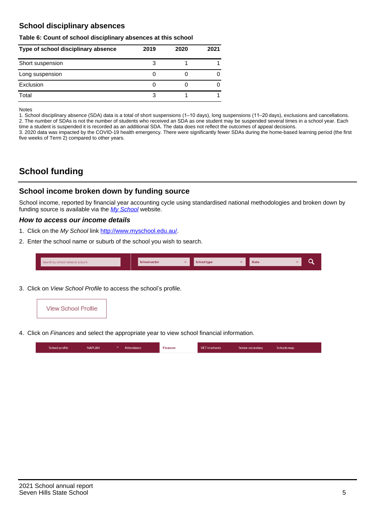## **School disciplinary absences**

#### **Table 6: Count of school disciplinary absences at this school**

| Type of school disciplinary absence | 2019 | 2020 | 2021 |
|-------------------------------------|------|------|------|
| Short suspension                    |      |      |      |
| Long suspension                     |      |      |      |
| Exclusion                           |      |      |      |
| Total                               |      |      |      |

Notes

1. School disciplinary absence (SDA) data is a total of short suspensions (1–10 days), long suspensions (11–20 days), exclusions and cancellations. 2. The number of SDAs is not the number of students who received an SDA as one student may be suspended several times in a school year. Each time a student is suspended it is recorded as an additional SDA. The data does not reflect the outcomes of appeal decisions.

3. 2020 data was impacted by the COVID-19 health emergency. There were significantly fewer SDAs during the home-based learning period (the first five weeks of Term 2) compared to other years.

# **School funding**

### **School income broken down by funding source**

School income, reported by financial year accounting cycle using standardised national methodologies and broken down by funding source is available via the  $My$  School website.

#### **How to access our income details**

- 1. Click on the My School link <http://www.myschool.edu.au/>.
- 2. Enter the school name or suburb of the school you wish to search.

|  | Search by school name or suburb |  | <b>School sector</b> |  | $\sim$ and $\sim$ represents the set of $\sim$ | <b>State</b> |  |  |  |
|--|---------------------------------|--|----------------------|--|------------------------------------------------|--------------|--|--|--|
|--|---------------------------------|--|----------------------|--|------------------------------------------------|--------------|--|--|--|

3. Click on View School Profile to access the school's profile.



4. Click on Finances and select the appropriate year to view school financial information.

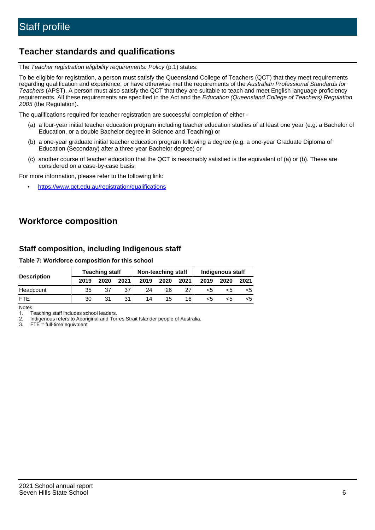## **Teacher standards and qualifications**

The Teacher registration eligibility requirements: Policy (p.1) states:

To be eligible for registration, a person must satisfy the Queensland College of Teachers (QCT) that they meet requirements regarding qualification and experience, or have otherwise met the requirements of the Australian Professional Standards for Teachers (APST). A person must also satisfy the QCT that they are suitable to teach and meet English language proficiency requirements. All these requirements are specified in the Act and the Education (Queensland College of Teachers) Regulation 2005 (the Regulation).

The qualifications required for teacher registration are successful completion of either -

- (a) a four-year initial teacher education program including teacher education studies of at least one year (e.g. a Bachelor of Education, or a double Bachelor degree in Science and Teaching) or
- (b) a one-year graduate initial teacher education program following a degree (e.g. a one-year Graduate Diploma of Education (Secondary) after a three-year Bachelor degree) or
- (c) another course of teacher education that the QCT is reasonably satisfied is the equivalent of (a) or (b). These are considered on a case-by-case basis.

For more information, please refer to the following link:

• <https://www.qct.edu.au/registration/qualifications>

# **Workforce composition**

## **Staff composition, including Indigenous staff**

#### **Table 7: Workforce composition for this school**

|                    |      | <b>Teaching staff</b> |      | Non-teaching staff |      |      | Indigenous staff |      |      |
|--------------------|------|-----------------------|------|--------------------|------|------|------------------|------|------|
| <b>Description</b> | 2019 | 2020                  | 2021 | 2019               | 2020 | 2021 | 2019             | 2020 | 2021 |
| Headcount          | 35   | 37                    | 37   | 24                 | 26   |      | <5               | <5   |      |
| <b>FTF</b>         | 30   | 31                    | 31   | 14                 | 15   | 16   | <5               | ה>   |      |

Notes

1. Teaching staff includes school leaders.

2. Indigenous refers to Aboriginal and Torres Strait Islander people of Australia.

3. FTE = full-time equivalent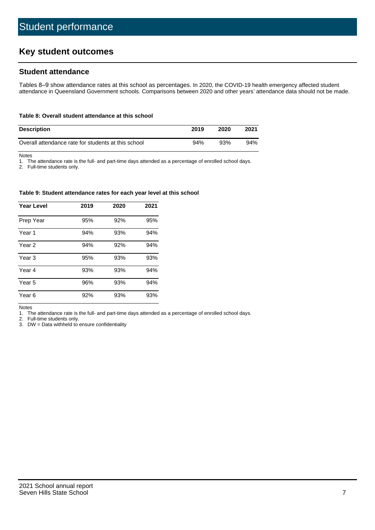# **Key student outcomes**

## **Student attendance**

Tables 8–9 show attendance rates at this school as percentages. In 2020, the COVID-19 health emergency affected student attendance in Queensland Government schools. Comparisons between 2020 and other years' attendance data should not be made.

#### **Table 8: Overall student attendance at this school**

| <b>Description</b>                                  | 2019 | 2020 | 2021 |
|-----------------------------------------------------|------|------|------|
| Overall attendance rate for students at this school | 94%  | 93%  | 94%  |

Notes

1. The attendance rate is the full- and part-time days attended as a percentage of enrolled school days.

2. Full-time students only.

#### **Table 9: Student attendance rates for each year level at this school**

| <b>Year Level</b> | 2019 | 2020 | 2021 |
|-------------------|------|------|------|
| Prep Year         | 95%  | 92%  | 95%  |
| Year <sub>1</sub> | 94%  | 93%  | 94%  |
| Year 2            | 94%  | 92%  | 94%  |
| Year <sub>3</sub> | 95%  | 93%  | 93%  |
| Year 4            | 93%  | 93%  | 94%  |
| Year 5            | 96%  | 93%  | 94%  |
| Year <sub>6</sub> | 92%  | 93%  | 93%  |

Notes

1. The attendance rate is the full- and part-time days attended as a percentage of enrolled school days.

2. Full-time students only.

3. DW = Data withheld to ensure confidentiality